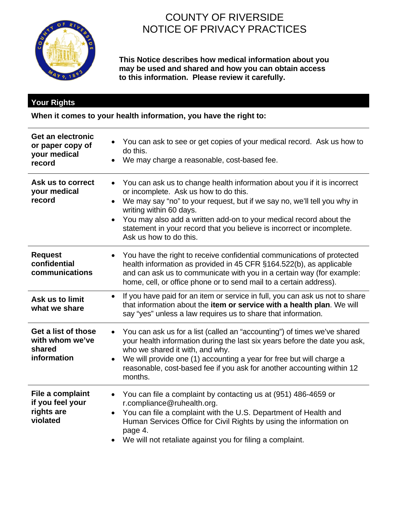

# COUNTY OF RIVERSIDE NOTICE OF PRIVACY PRACTICES

**This Notice describes how medical information about you may be used and shared and how you can obtain access to this information. Please review it carefully.**

### **Your Rights**

**When it comes to your health information, you have the right to:**

| <b>Get an electronic</b><br>or paper copy of<br>your medical<br>record | You can ask to see or get copies of your medical record. Ask us how to<br>do this.<br>We may charge a reasonable, cost-based fee.                                                                                                                                                                                                                                                                                           |
|------------------------------------------------------------------------|-----------------------------------------------------------------------------------------------------------------------------------------------------------------------------------------------------------------------------------------------------------------------------------------------------------------------------------------------------------------------------------------------------------------------------|
| Ask us to correct<br>your medical<br>record                            | You can ask us to change health information about you if it is incorrect<br>$\bullet$<br>or incomplete. Ask us how to do this.<br>We may say "no" to your request, but if we say no, we'll tell you why in<br>$\bullet$<br>writing within 60 days.<br>You may also add a written add-on to your medical record about the<br>statement in your record that you believe is incorrect or incomplete.<br>Ask us how to do this. |
| <b>Request</b><br>confidential<br>communications                       | You have the right to receive confidential communications of protected<br>$\bullet$<br>health information as provided in 45 CFR §164.522(b), as applicable<br>and can ask us to communicate with you in a certain way (for example:<br>home, cell, or office phone or to send mail to a certain address).                                                                                                                   |
| Ask us to limit<br>what we share                                       | If you have paid for an item or service in full, you can ask us not to share<br>$\bullet$<br>that information about the item or service with a health plan. We will<br>say "yes" unless a law requires us to share that information.                                                                                                                                                                                        |
| Get a list of those<br>with whom we've<br>shared<br>information        | You can ask us for a list (called an "accounting") of times we've shared<br>$\bullet$<br>your health information during the last six years before the date you ask,<br>who we shared it with, and why.<br>We will provide one (1) accounting a year for free but will charge a<br>$\bullet$<br>reasonable, cost-based fee if you ask for another accounting within 12<br>months.                                            |
| File a complaint<br>if you feel your<br>rights are<br>violated         | You can file a complaint by contacting us at (951) 486-4659 or<br>$\bullet$<br>r.compliance@ruhealth.org.<br>You can file a complaint with the U.S. Department of Health and<br>$\bullet$<br>Human Services Office for Civil Rights by using the information on<br>page 4.<br>We will not retaliate against you for filing a complaint.                                                                                     |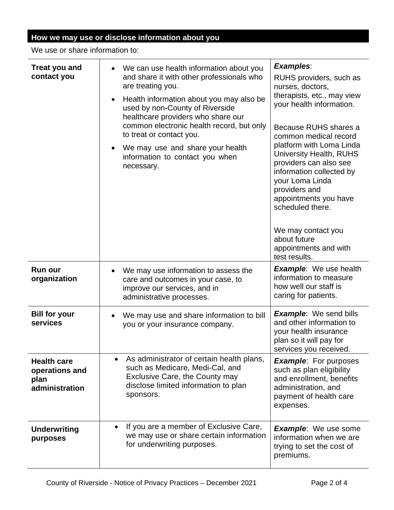## **How we may use or disclose information about you**

We use or share information to:

| <b>Treat you and</b><br>contact you                            | We can use health information about you<br>and share it with other professionals who<br>are treating you.<br>Health information about you may also be<br>used by non-County of Riverside<br>healthcare providers who share our<br>common electronic health record, but only<br>to treat or contact you.<br>We may use and share your health<br>$\bullet$<br>information to contact you when<br>necessary. | <b>Examples:</b><br>RUHS providers, such as<br>nurses, doctors,<br>therapists, etc., may view<br>your health information.<br>Because RUHS shares a<br>common medical record<br>platform with Loma Linda<br><b>University Health, RUHS</b><br>providers can also see<br>information collected by<br>your Loma Linda<br>providers and<br>appointments you have<br>scheduled there.<br>We may contact you<br>about future<br>appointments and with<br>test results. |
|----------------------------------------------------------------|-----------------------------------------------------------------------------------------------------------------------------------------------------------------------------------------------------------------------------------------------------------------------------------------------------------------------------------------------------------------------------------------------------------|------------------------------------------------------------------------------------------------------------------------------------------------------------------------------------------------------------------------------------------------------------------------------------------------------------------------------------------------------------------------------------------------------------------------------------------------------------------|
| <b>Run our</b><br>organization                                 | We may use information to assess the<br>care and outcomes in your case, to<br>improve our services, and in<br>administrative processes.                                                                                                                                                                                                                                                                   | <b>Example:</b> We use health<br>information to measure<br>how well our staff is<br>caring for patients.                                                                                                                                                                                                                                                                                                                                                         |
| <b>Bill for your</b><br>services                               | We may use and share information to bill<br>you or your insurance company.                                                                                                                                                                                                                                                                                                                                | <b>Example:</b> We send bills<br>and other information to<br>your health insurance<br>plan so it will pay for<br>services you received.                                                                                                                                                                                                                                                                                                                          |
| <b>Health care</b><br>operations and<br>plan<br>administration | As administrator of certain health plans,<br>$\bullet$<br>such as Medicare, Medi-Cal, and<br>Exclusive Care, the County may<br>disclose limited information to plan<br>sponsors.                                                                                                                                                                                                                          | <b>Example:</b> For purposes<br>such as plan eligibility<br>and enrollment, benefits<br>administration, and<br>payment of health care<br>expenses.                                                                                                                                                                                                                                                                                                               |
| <b>Underwriting</b><br>purposes                                | If you are a member of Exclusive Care,<br>$\bullet$<br>we may use or share certain information<br>for underwriting purposes.                                                                                                                                                                                                                                                                              | <b>Example:</b> We use some<br>information when we are<br>trying to set the cost of<br>premiums.                                                                                                                                                                                                                                                                                                                                                                 |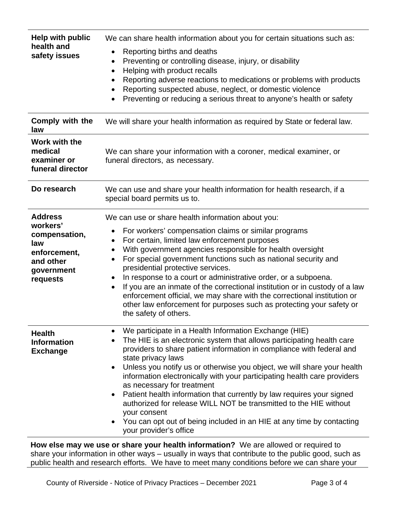| <b>Help with public</b><br>health and<br>safety issues                                                    | We can share health information about you for certain situations such as:<br>Reporting births and deaths<br>٠<br>Preventing or controlling disease, injury, or disability<br>Helping with product recalls<br>$\bullet$<br>Reporting adverse reactions to medications or problems with products<br>Reporting suspected abuse, neglect, or domestic violence<br>Preventing or reducing a serious threat to anyone's health or safety<br>$\bullet$                                                                                                                                                                                                                                                         |  |
|-----------------------------------------------------------------------------------------------------------|---------------------------------------------------------------------------------------------------------------------------------------------------------------------------------------------------------------------------------------------------------------------------------------------------------------------------------------------------------------------------------------------------------------------------------------------------------------------------------------------------------------------------------------------------------------------------------------------------------------------------------------------------------------------------------------------------------|--|
| Comply with the<br>law                                                                                    | We will share your health information as required by State or federal law.                                                                                                                                                                                                                                                                                                                                                                                                                                                                                                                                                                                                                              |  |
| Work with the<br>medical<br>examiner or<br>funeral director                                               | We can share your information with a coroner, medical examiner, or<br>funeral directors, as necessary.                                                                                                                                                                                                                                                                                                                                                                                                                                                                                                                                                                                                  |  |
| Do research                                                                                               | We can use and share your health information for health research, if a<br>special board permits us to.                                                                                                                                                                                                                                                                                                                                                                                                                                                                                                                                                                                                  |  |
| <b>Address</b><br>workers'<br>compensation,<br>law<br>enforcement,<br>and other<br>government<br>requests | We can use or share health information about you:<br>For workers' compensation claims or similar programs<br>For certain, limited law enforcement purposes<br>٠<br>With government agencies responsible for health oversight<br>$\bullet$<br>For special government functions such as national security and<br>$\bullet$<br>presidential protective services.<br>In response to a court or administrative order, or a subpoena.<br>If you are an inmate of the correctional institution or in custody of a law<br>$\bullet$<br>enforcement official, we may share with the correctional institution or<br>other law enforcement for purposes such as protecting your safety or<br>the safety of others. |  |
| <b>Health</b><br><b>Information</b><br><b>Exchange</b>                                                    | We participate in a Health Information Exchange (HIE)<br>The HIE is an electronic system that allows participating health care<br>providers to share patient information in compliance with federal and<br>state privacy laws<br>Unless you notify us or otherwise you object, we will share your health<br>$\bullet$<br>information electronically with your participating health care providers<br>as necessary for treatment<br>Patient health information that currently by law requires your signed<br>٠<br>authorized for release WILL NOT be transmitted to the HIE without<br>your consent<br>You can opt out of being included in an HIE at any time by contacting<br>your provider's office   |  |
|                                                                                                           | How else may we use or share your health information? We are allowed or required to                                                                                                                                                                                                                                                                                                                                                                                                                                                                                                                                                                                                                     |  |

**How else may we use or share your health information?** We are allowed or required to share your information in other ways – usually in ways that contribute to the public good, such as public health and research efforts. We have to meet many conditions before we can share your